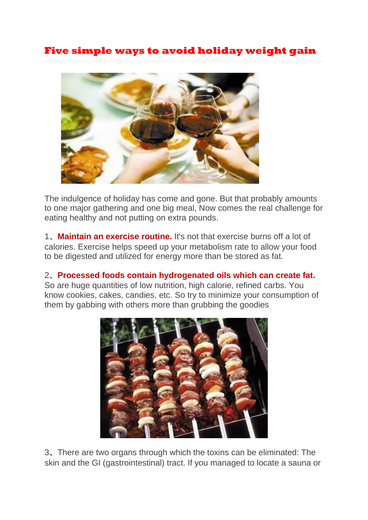## **Five simple ways to avoid holiday weight gain**



**The indulgence of holiday has come and gone. But that probably amounts to one major gathering and one big meal, Now comes the real challenge for eating healthy and not putting on extra pounds.**

**1**、**Maintain an exercise routine. It's not that exercise burns off a lot of calories. Exercise helps speed up your metabolism rate to allow your food to be digested and utilized for energy more than be stored as fat.**

**2**、**Processed foods contain hydrogenated oils which can create fat. So are huge quantities of low nutrition, high calorie, refined carbs. You know cookies, cakes, candies, etc. So try to minimize your consumption of them by gabbing with others more than grubbing the goodies**



**3**、**There are two organs through which the toxins can be eliminated: The skin and the GI (gastrointestinal) tract. If you managed to locate a sauna or**